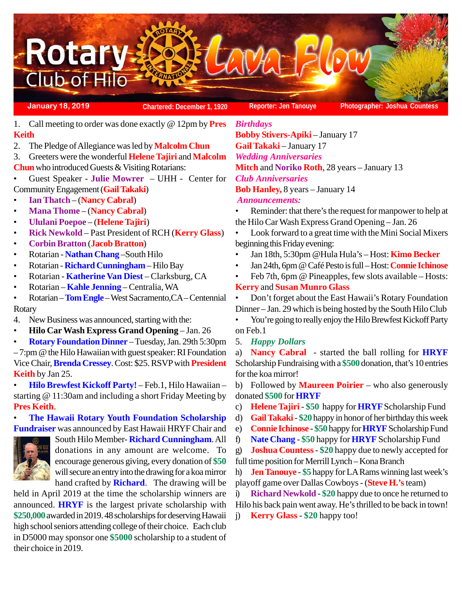

**January 18, 2019 Chartered: December 1, 1920 Reporter: Jen Tanouye Photographer: Joshua Countess**

- 1. Call meeting to order was done exactly @ 12pm by **Pres Keith**
- 2. The Pledge of Allegiance was led by **Malcolm Chun**
- 3. Greeters were the wonderful **Helene Tajiri** and **Malcolm**
- **Chun** who introduced Guests & Visiting Rotarians:
- Guest Speaker **Julie Mowrer** UHH Center for Community Engagement (**Gail Takaki**)
- **Ian Thatch**  (**Nancy Cabral**)
- **Mana Thome** (**Nancy Cabral**)
- **Ululani Poepoe** (**Helene Tajiri**)
- **Rick Newkold** Past President of RCH (**Kerry Glass**)
- **Corbin Bratton** (**Jacob Bratton**)
- Rotarian **Nathan Chang** –South Hilo
- Rotarian **Richard Cunningham** Hilo Bay
- Rotarian **Katherine Van Diest** Clarksburg, CA
- Rotarian **Kahle Jenning**  Centralia, WA
- Rotarian **Tom Engle** West Sacramento,CA Centennial Rotary
- 4. New Business was announced, starting with the:
- **Hilo Car Wash Express Grand Opening** Jan. 26
- **Rotary Foundation Dinner** Tuesday, Jan. 29th 5:30pm

– 7:pm @ the Hilo Hawaiian with guest speaker: RI Foundation Vice Chair, **Brenda Cressey**. Cost: \$25. RSVP with **President Keith** by Jan 25.

• **Hilo Brewfest Kickoff Party!** – Feb.1, Hilo Hawaiian – starting @ 11:30am and including a short Friday Meeting by **Pres Keith**.

• **The Hawaii Rotary Youth Foundation Scholarship Fundraiser** was announced by East Hawaii HRYF Chair and



South Hilo Member- **Richard Cunningham**. All donations in any amount are welcome. To encourage generous giving, every donation of **\$50** will secure an entry into the drawing for a koa mirror hand crafted by **Richard**. The drawing will be

held in April 2019 at the time the scholarship winners are announced. **HRYF** is the largest private scholarship with **\$250,000** awarded in 2019. 48 scholarships for deserving Hawaii high school seniors attending college of their choice. Each club in D5000 may sponsor one **\$5000** scholarship to a student of their choice in 2019.

*Birthdays* **Bobby Stivers-Apiki** – January 17 **Gail Takaki** – January 17 *Wedding Anniversaries* **Mitch** and **Noriko Roth**, 28 years – January 13 *Club Anniversaries* **Bob Hanley,** 8 years – January 14 *Announcements:*

- Reminder: that there's the request for manpower to help at the Hilo Car Wash Express Grand Opening – Jan. 26
- Look forward to a great time with the Mini Social Mixers beginning this Friday evening:
- Jan 18th, 5:30pm @Hula Hula's Host: **Kimo Becker**
- Jan 24th, 6pm @ Café Pesto is full Host: **Connie Ichinose**
- Feb 7th, 6pm @ Pineapples, few slots available Hosts:

# **Kerry** and **Susan Munro Glass**

• Don't forget about the East Hawaii's Rotary Foundation Dinner – Jan. 29 which is being hosted by the South Hilo Club

• You're going to really enjoy the Hilo Brewfest Kickoff Party on Feb.1

5. *Happy Dollars*

a) **Nancy Cabral** - started the ball rolling for **HRYF** Scholarship Fundraising with a **\$500** donation, that's 10 entries for the koa mirror!

b) Followed by **Maureen Poirier** – who also generously donated **\$500** for **HRYF**

- c) **Helene Tajiri \$50** happy for **HRYF** Scholarship Fund
- d) **Gail Takaki \$20** happy in honor of her birthday this week
- e) **Connie Ichinose** - **\$50** happy for **HRYF** Scholarship Fund
- f) **Nate Chang** - **\$50** happy for **HRYF** Scholarship Fund

g) **Joshua Countess** - **\$20** happy due to newly accepted for

full time position for Merrill Lynch – Kona Branch

h) **Jen Tanouye** - **\$5** happy for LA Rams winning last week's playoff game over Dallas Cowboys - (**Steve H.'s** team)

i) **Richard Newkold** - **\$20** happy due to once he returned to Hilo his back pain went away. He's thrilled to be back in town!

j) **Kerry Glass** - **\$20** happy too!